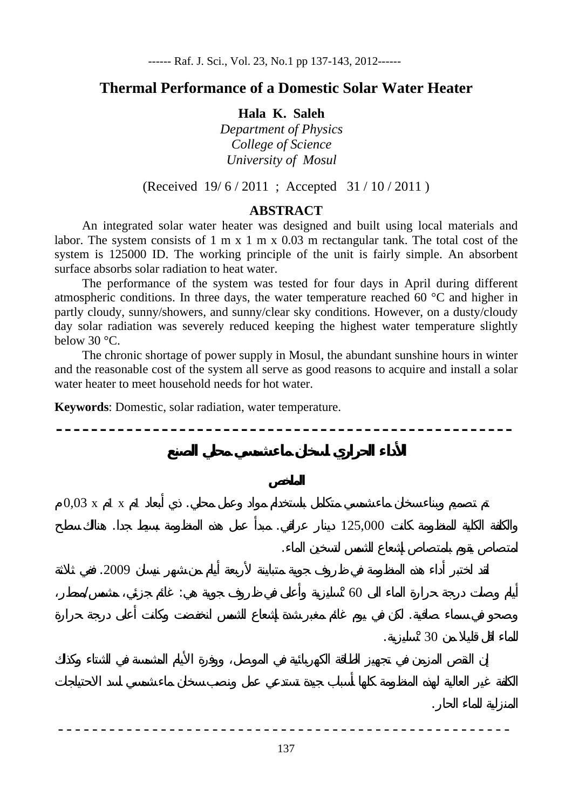# **Thermal Performance of a Domestic Solar Water Heater**

**Hala K. Saleh** 

*Department of Physics College of Science University of Mosul*

(Received 19/ 6 / 2011 ; Accepted 31 / 10 / 2011 )

## **ABSTRACT**

An integrated solar water heater was designed and built using local materials and labor. The system consists of 1 m x 1 m x 0.03 m rectangular tank. The total cost of the system is 125000 ID. The working principle of the unit is fairly simple. An absorbent surface absorbs solar radiation to heat water.

The performance of the system was tested for four days in April during different atmospheric conditions. In three days, the water temperature reached 60 °C and higher in partly cloudy, sunny/showers, and sunny/clear sky conditions. However, on a dusty/cloudy day solar radiation was severely reduced keeping the highest water temperature slightly below 30 °C.

The chronic shortage of power supply in Mosul, the abundant sunshine hours in winter and the reasonable cost of the system all serve as good reasons to acquire and install a solar water heater to meet household needs for hot water.

**Keywords**: Domestic, solar radiation, water temperature.

 $0.03 x 1 x 1$ 

 $125,000$   $125,000$ 

امتصاص يقوم بامتصاص إشعاع الشمس لتسخين الماء.

لقد اختبر أداء هذه المنظومة في ظروف جوية متباينة لأربع أيام من شهر نيسان .2009 ففي ثلاثة

 $\frac{1}{2}$  becomes the contract of  $\frac{1}{2}$   $\frac{1}{2}$   $\frac{1}{2}$   $\frac{1}{2}$   $\frac{1}{2}$   $\frac{1}{2}$   $\frac{1}{2}$   $\frac{1}{2}$   $\frac{1}{2}$   $\frac{1}{2}$   $\frac{1}{2}$   $\frac{1}{2}$   $\frac{1}{2}$   $\frac{1}{2}$   $\frac{1}{2}$   $\frac{1}{2}$   $\frac{1}{2}$   $\frac{1}{2}$   $\frac{1}{2$ 

 $\degree$  30

المنزلية للماء الحار.

وصحو في سماء صافية. لكن في يوم غائم مغبر شدة إشعاع الشمس انخفضت وكانت أعلى درجة حرارة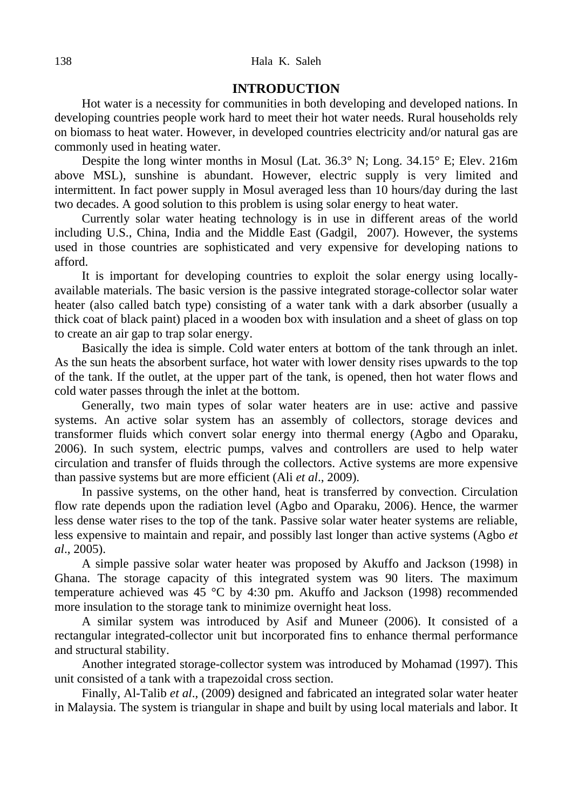### **INTRODUCTION**

Hot water is a necessity for communities in both developing and developed nations. In developing countries people work hard to meet their hot water needs. Rural households rely on biomass to heat water. However, in developed countries electricity and/or natural gas are commonly used in heating water.

Despite the long winter months in Mosul (Lat. 36.3° N; Long. 34.15° E; Elev. 216m above MSL), sunshine is abundant. However, electric supply is very limited and intermittent. In fact power supply in Mosul averaged less than 10 hours/day during the last two decades. A good solution to this problem is using solar energy to heat water.

Currently solar water heating technology is in use in different areas of the world including U.S., China, India and the Middle East (Gadgil, 2007). However, the systems used in those countries are sophisticated and very expensive for developing nations to afford.

It is important for developing countries to exploit the solar energy using locallyavailable materials. The basic version is the passive integrated storage-collector solar water heater (also called batch type) consisting of a water tank with a dark absorber (usually a thick coat of black paint) placed in a wooden box with insulation and a sheet of glass on top to create an air gap to trap solar energy.

Basically the idea is simple. Cold water enters at bottom of the tank through an inlet. As the sun heats the absorbent surface, hot water with lower density rises upwards to the top of the tank. If the outlet, at the upper part of the tank, is opened, then hot water flows and cold water passes through the inlet at the bottom.

Generally, two main types of solar water heaters are in use: active and passive systems. An active solar system has an assembly of collectors, storage devices and transformer fluids which convert solar energy into thermal energy (Agbo and Oparaku, 2006). In such system, electric pumps, valves and controllers are used to help water circulation and transfer of fluids through the collectors. Active systems are more expensive than passive systems but are more efficient (Ali *et al*., 2009).

In passive systems, on the other hand, heat is transferred by convection. Circulation flow rate depends upon the radiation level (Agbo and Oparaku, 2006). Hence, the warmer less dense water rises to the top of the tank. Passive solar water heater systems are reliable, less expensive to maintain and repair, and possibly last longer than active systems (Agbo *et al*., 2005).

A simple passive solar water heater was proposed by Akuffo and Jackson (1998) in Ghana. The storage capacity of this integrated system was 90 liters. The maximum temperature achieved was 45 °C by 4:30 pm. Akuffo and Jackson (1998) recommended more insulation to the storage tank to minimize overnight heat loss.

A similar system was introduced by Asif and Muneer (2006). It consisted of a rectangular integrated-collector unit but incorporated fins to enhance thermal performance and structural stability.

Another integrated storage-collector system was introduced by Mohamad (1997). This unit consisted of a tank with a trapezoidal cross section.

Finally, Al-Talib *et al*., (2009) designed and fabricated an integrated solar water heater in Malaysia. The system is triangular in shape and built by using local materials and labor. It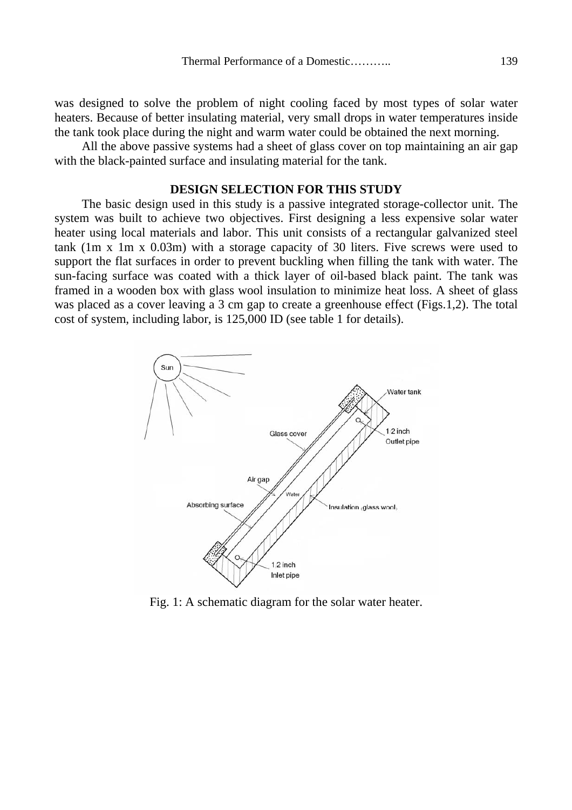was designed to solve the problem of night cooling faced by most types of solar water heaters. Because of better insulating material, very small drops in water temperatures inside the tank took place during the night and warm water could be obtained the next morning.

All the above passive systems had a sheet of glass cover on top maintaining an air gap with the black-painted surface and insulating material for the tank.

### **DESIGN SELECTION FOR THIS STUDY**

The basic design used in this study is a passive integrated storage-collector unit. The system was built to achieve two objectives. First designing a less expensive solar water heater using local materials and labor. This unit consists of a rectangular galvanized steel tank (1m x 1m x 0.03m) with a storage capacity of 30 liters. Five screws were used to support the flat surfaces in order to prevent buckling when filling the tank with water. The sun-facing surface was coated with a thick layer of oil-based black paint. The tank was framed in a wooden box with glass wool insulation to minimize heat loss. A sheet of glass was placed as a cover leaving a 3 cm gap to create a greenhouse effect (Figs.1,2). The total cost of system, including labor, is 125,000 ID (see table 1 for details).



Fig. 1: A schematic diagram for the solar water heater.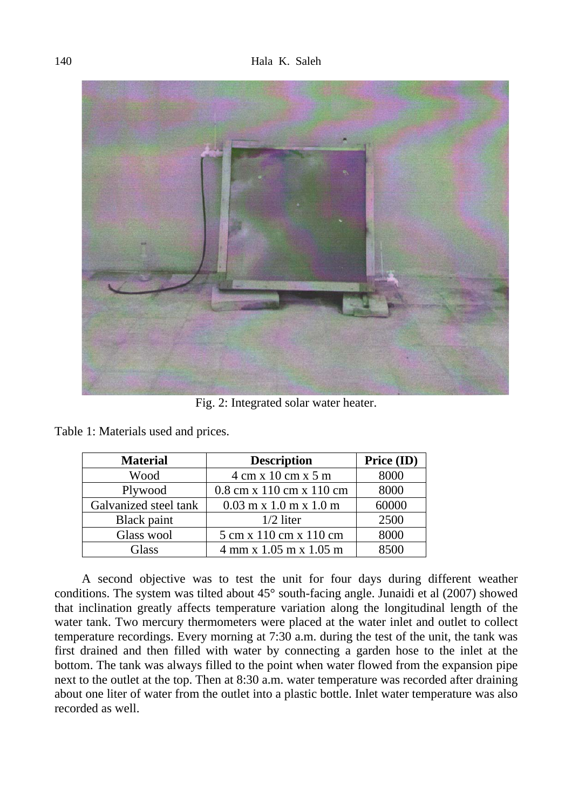

Fig. 2: Integrated solar water heater.

| <b>Material</b>       | <b>Description</b>                                     | Price (ID) |
|-----------------------|--------------------------------------------------------|------------|
| Wood                  | $4 \text{ cm} \times 10 \text{ cm} \times 5 \text{ m}$ | 8000       |
| Plywood               | $0.8$ cm x 110 cm x 110 cm                             | 8000       |
| Galvanized steel tank | $0.03$ m x $1.0$ m x $1.0$ m                           | 60000      |
| Black paint           | $1/2$ liter                                            | 2500       |
| Glass wool            | 5 cm x 110 cm x 110 cm                                 | 8000       |
| <b>Glass</b>          | 4 mm x 1.05 m x 1.05 m                                 | 8500       |

Table 1: Materials used and prices.

A second objective was to test the unit for four days during different weather conditions. The system was tilted about 45° south-facing angle. Junaidi et al (2007) showed that inclination greatly affects temperature variation along the longitudinal length of the water tank. Two mercury thermometers were placed at the water inlet and outlet to collect temperature recordings. Every morning at 7:30 a.m. during the test of the unit, the tank was first drained and then filled with water by connecting a garden hose to the inlet at the bottom. The tank was always filled to the point when water flowed from the expansion pipe next to the outlet at the top. Then at 8:30 a.m. water temperature was recorded after draining about one liter of water from the outlet into a plastic bottle. Inlet water temperature was also recorded as well.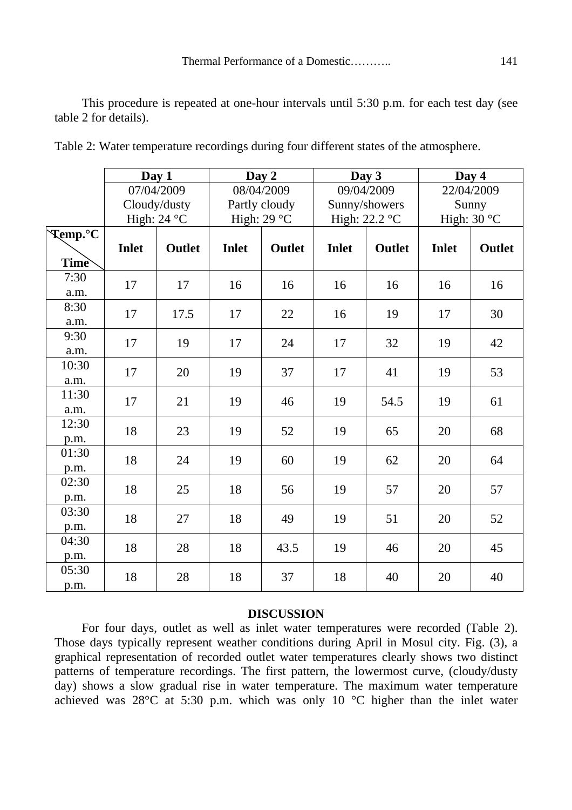This procedure is repeated at one-hour intervals until 5:30 p.m. for each test day (see table 2 for details).

|                      | Day 1<br>07/04/2009 |               | Day 2<br>08/04/2009  |        |               | Day 3  | Day 4        |        |  |
|----------------------|---------------------|---------------|----------------------|--------|---------------|--------|--------------|--------|--|
|                      |                     |               |                      |        | 09/04/2009    |        | 22/04/2009   |        |  |
|                      |                     | Cloudy/dusty  | Partly cloudy        |        | Sunny/showers |        | Sunny        |        |  |
|                      |                     | High: $24 °C$ | High: $29^{\circ}$ C |        | High: 22.2 °C |        | High: 30 °C  |        |  |
| Temp. <sup>o</sup> C |                     |               |                      |        |               |        |              |        |  |
|                      | <b>Inlet</b>        | Outlet        | <b>Inlet</b>         | Outlet | <b>Inlet</b>  | Outlet | <b>Inlet</b> | Outlet |  |
| <b>Time</b>          |                     |               |                      |        |               |        |              |        |  |
| 7:30                 | 17                  | 17            | 16                   | 16     | 16            | 16     | 16           | 16     |  |
| a.m.                 |                     |               |                      |        |               |        |              |        |  |
| 8:30                 | 17                  | 17.5          | 17                   | 22     | 16            | 19     | 17           | 30     |  |
| a.m.                 |                     |               |                      |        |               |        |              |        |  |
| 9:30                 | 17                  | 19            | 17                   | 24     | 17            | 32     | 19           | 42     |  |
| a.m.                 |                     |               |                      |        |               |        |              |        |  |
| 10:30                | 17                  | 20            | 19                   | 37     | 17            | 41     | 19           | 53     |  |
| a.m.                 |                     |               |                      |        |               |        |              |        |  |
| 11:30                | 17                  | 21            | 19                   | 46     | 19            | 54.5   | 19           | 61     |  |
| a.m.                 |                     |               |                      |        |               |        |              |        |  |
| 12:30                | 18                  | 23            | 19                   | 52     | 19            | 65     | 20           | 68     |  |
| p.m.                 |                     |               |                      |        |               |        |              |        |  |
| 01:30                | 18                  | 24            | 19                   | 60     | 19            | 62     | 20           | 64     |  |
| p.m.                 |                     |               |                      |        |               |        |              |        |  |
| 02:30                | 18                  | 25            | 18                   | 56     | 19            | 57     | 20           | 57     |  |
| p.m.                 |                     |               |                      |        |               |        |              |        |  |
| 03:30                | 18                  | 27            | 18                   | 49     | 19            | 51     | 20           | 52     |  |
| p.m.                 |                     |               |                      |        |               |        |              |        |  |
| 04:30                | 18                  | 28            | 18                   | 43.5   | 19            | 46     | 20           | 45     |  |
| p.m.                 |                     |               |                      |        |               |        |              |        |  |
| 05:30                | 18                  | 28            | 18                   | 37     | 18            | 40     | 20           | 40     |  |
| p.m.                 |                     |               |                      |        |               |        |              |        |  |

|  | Table 2: Water temperature recordings during four different states of the atmosphere. |  |  |  |  |
|--|---------------------------------------------------------------------------------------|--|--|--|--|
|  |                                                                                       |  |  |  |  |

# **DISCUSSION**

For four days, outlet as well as inlet water temperatures were recorded (Table 2). Those days typically represent weather conditions during April in Mosul city. Fig. (3), a graphical representation of recorded outlet water temperatures clearly shows two distinct patterns of temperature recordings. The first pattern, the lowermost curve, (cloudy/dusty day) shows a slow gradual rise in water temperature. The maximum water temperature achieved was  $28^{\circ}$ C at 5:30 p.m. which was only 10  $^{\circ}$ C higher than the inlet water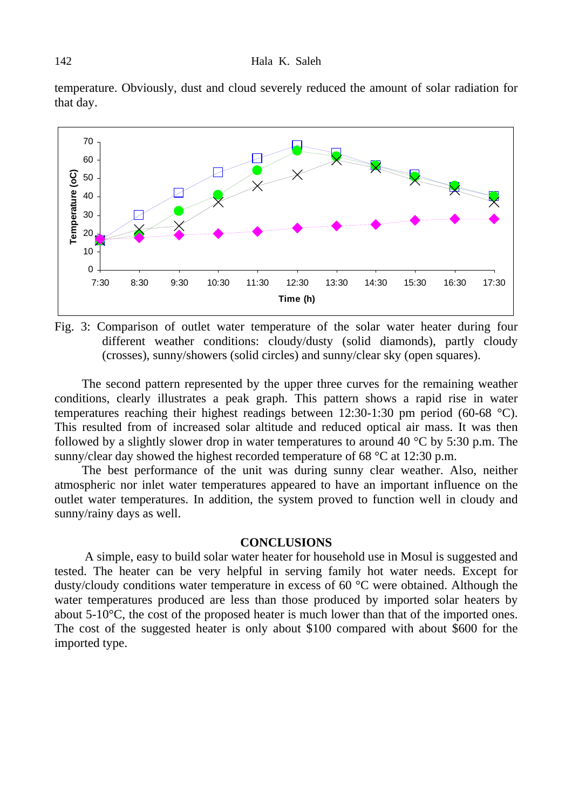temperature. Obviously, dust and cloud severely reduced the amount of solar radiation for that day.



Fig. 3: Comparison of outlet water temperature of the solar water heater during four different weather conditions: cloudy/dusty (solid diamonds), partly cloudy (crosses), sunny/showers (solid circles) and sunny/clear sky (open squares).

The second pattern represented by the upper three curves for the remaining weather conditions, clearly illustrates a peak graph. This pattern shows a rapid rise in water temperatures reaching their highest readings between 12:30-1:30 pm period (60-68 °C). This resulted from of increased solar altitude and reduced optical air mass. It was then followed by a slightly slower drop in water temperatures to around 40  $\degree$ C by 5:30 p.m. The sunny/clear day showed the highest recorded temperature of 68 °C at 12:30 p.m.

The best performance of the unit was during sunny clear weather. Also, neither atmospheric nor inlet water temperatures appeared to have an important influence on the outlet water temperatures. In addition, the system proved to function well in cloudy and sunny/rainy days as well.

## **CONCLUSIONS**

A simple, easy to build solar water heater for household use in Mosul is suggested and tested. The heater can be very helpful in serving family hot water needs. Except for dusty/cloudy conditions water temperature in excess of 60 °C were obtained. Although the water temperatures produced are less than those produced by imported solar heaters by about 5-10°C, the cost of the proposed heater is much lower than that of the imported ones. The cost of the suggested heater is only about \$100 compared with about \$600 for the imported type.